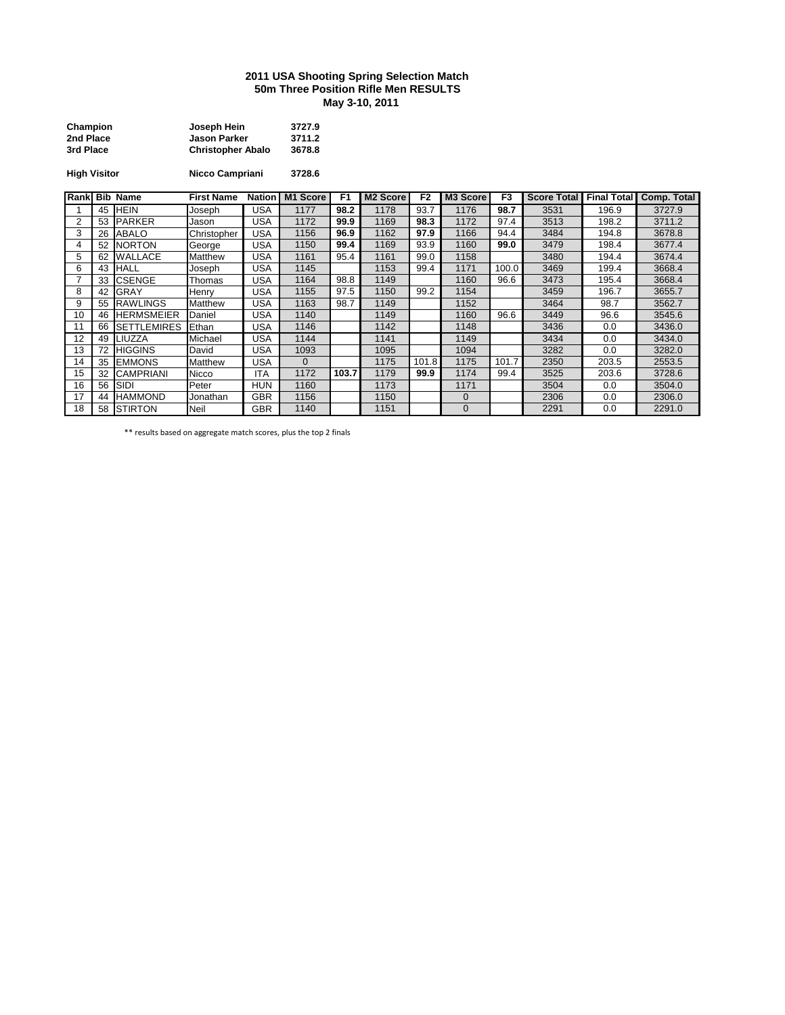## **2011 USA Shooting Spring Selection Match 50m Three Position Rifle Men RESULTS May 3-10, 2011**

| Champion  | Joseph Hein              | 3727.9 |
|-----------|--------------------------|--------|
| 2nd Place | <b>Jason Parker</b>      | 3711.2 |
| 3rd Place | <b>Christopher Abalo</b> | 3678.8 |

**High Visitor Nicco Campriani 3728.6**

| Rank           |    | <b>Bib Name</b>    | <b>First Name</b> | <b>Nation</b> | M1 Score | F <sub>1</sub> | M <sub>2</sub> Score | F <sub>2</sub> | M3 Score       | F <sub>3</sub> | <b>Score Total</b> | <b>Final Total</b> | <b>Comp. Total</b> |
|----------------|----|--------------------|-------------------|---------------|----------|----------------|----------------------|----------------|----------------|----------------|--------------------|--------------------|--------------------|
|                | 45 | <b>HEIN</b>        | Joseph            | USA           | 1177     | 98.2           | 1178                 | 93.7           | 1176           | 98.7           | 3531               | 196.9              | 3727.9             |
| $\overline{2}$ | 53 | PARKER             | Jason             | USA           | 1172     | 99.9           | 1169                 | 98.3           | 1172           | 97.4           | 3513               | 198.2              | 3711.2             |
| 3              | 26 | <b>ABALO</b>       | Christopher       | USA           | 1156     | 96.9           | 1162                 | 97.9           | 1166           | 94.4           | 3484               | 194.8              | 3678.8             |
| 4              | 52 | <b>NORTON</b>      | George            | USA           | 1150     | 99.4           | 1169                 | 93.9           | 1160           | 99.0           | 3479               | 198.4              | 3677.4             |
| 5              | 62 | <b>WALLACE</b>     | <b>Matthew</b>    | USA           | 1161     | 95.4           | 1161                 | 99.0           | 1158           |                | 3480               | 194.4              | 3674.4             |
| 6              | 43 | <b>HALL</b>        | Joseph            | USA           | 1145     |                | 1153                 | 99.4           | 1171           | 100.0          | 3469               | 199.4              | 3668.4             |
|                | 33 | <b>CSENGE</b>      | Thomas            | USA           | 1164     | 98.8           | 1149                 |                | 1160           | 96.6           | 3473               | 195.4              | 3668.4             |
| 8              | 42 | <b>GRAY</b>        | Henry             | <b>USA</b>    | 1155     | 97.5           | 1150                 | 99.2           | 1154           |                | 3459               | 196.7              | 3655.7             |
| 9              | 55 | <b>RAWLINGS</b>    | <b>Matthew</b>    | USA           | 1163     | 98.7           | 1149                 |                | 1152           |                | 3464               | 98.7               | 3562.7             |
| 10             | 46 | <b>HERMSMEIER</b>  | Daniel            | USA           | 1140     |                | 1149                 |                | 1160           | 96.6           | 3449               | 96.6               | 3545.6             |
|                | 66 | <b>SETTLEMIRES</b> | Ethan             | USA           | 1146     |                | 1142                 |                | 1148           |                | 3436               | 0.0                | 3436.0             |
| 12             | 49 | LIUZZA             | Michael           | USA           | 1144     |                | 1141                 |                | 1149           |                | 3434               | 0.0                | 3434.0             |
| 13             | 72 | <b>HIGGINS</b>     | David             | USA           | 1093     |                | 1095                 |                | 1094           |                | 3282               | 0.0                | 3282.0             |
| 14             | 35 | <b>EMMONS</b>      | Matthew           | USA           | 0        |                | 1175                 | 101.8          | 1175           | 101.7          | 2350               | 203.5              | 2553.5             |
| 15             | 32 | <b>CAMPRIANI</b>   | Nicco             | ITA           | 1172     | 103.7          | 1179                 | 99.9           | 1174           | 99.4           | 3525               | 203.6              | 3728.6             |
| 16             | 56 | <b>SIDI</b>        | Peter             | <b>HUN</b>    | 1160     |                | 1173                 |                | 1171           |                | 3504               | 0.0                | 3504.0             |
| 17             | 44 | <b>HAMMOND</b>     | Jonathan          | <b>GBR</b>    | 1156     |                | 1150                 |                | $\overline{0}$ |                | 2306               | 0.0                | 2306.0             |
| 18             |    | 58 STIRTON         | <b>Neil</b>       | <b>GBR</b>    | 1140     |                | 1151                 |                | 0              |                | 2291               | 0.0                | 2291.0             |

\*\* results based on aggregate match scores, plus the top 2 finals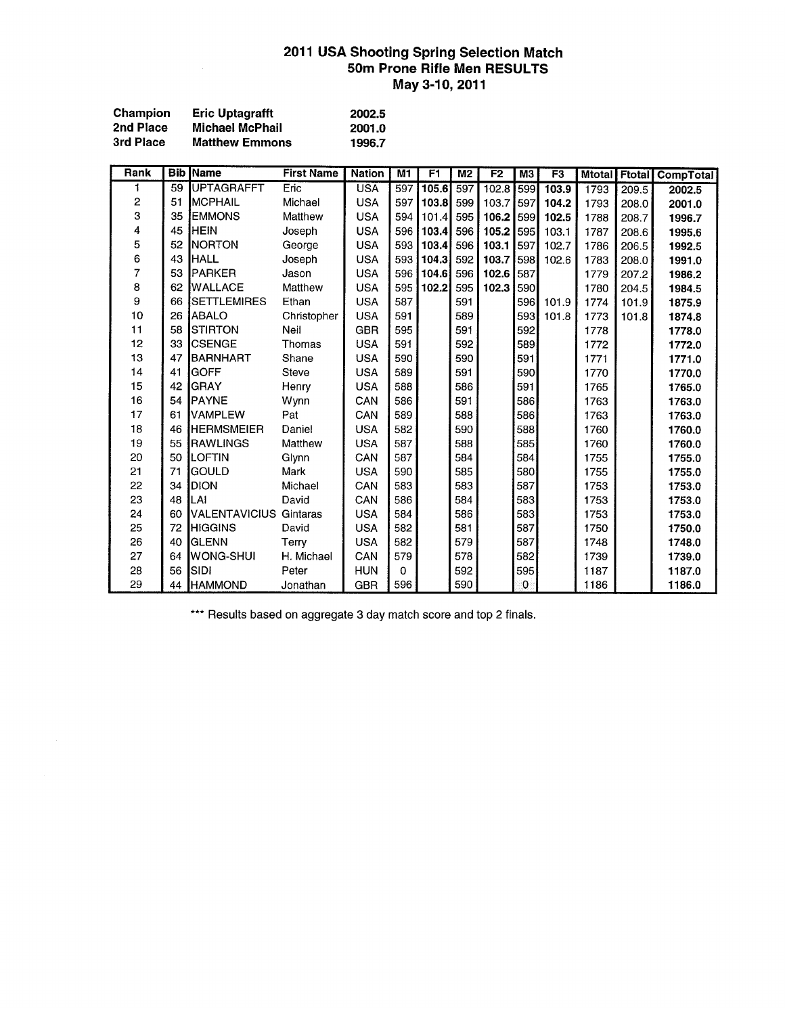# 2011 USA Shooting Spring Selection Match<br>50m Prone Rifle Men RESULTS May 3-10, 2011

| Champion  | <b>Eric Uptagrafft</b> | 2002.5 |
|-----------|------------------------|--------|
| 2nd Place | <b>Michael McPhail</b> | 2001.0 |
| 3rd Place | <b>Matthew Emmons</b>  | 1996.7 |

| Rank |    | <b>Bib Name</b>               | <b>First Name</b> | <b>Nation</b> | M1       | F <sub>1</sub> | M <sub>2</sub> | F2    | M3          | F <sub>3</sub> | <b>Mtotal</b> |       | <b>Ftotal CompTotal</b> |
|------|----|-------------------------------|-------------------|---------------|----------|----------------|----------------|-------|-------------|----------------|---------------|-------|-------------------------|
| 1    | 59 | <b>UPTAGRAFFT</b>             | Eric              | <b>USA</b>    | 597      | 105.6          | 597            | 102.8 | 599         | 103.9          | 1793          | 209.5 | 2002.5                  |
| 2    | 51 | <b>IMCPHAIL</b>               | Michael           | <b>USA</b>    | 597      | 103.8          | 599            | 103.7 | 597         | 104.2          | 1793          | 208.0 | 2001.0                  |
| 3    | 35 | <b>EMMONS</b>                 | Matthew           | <b>USA</b>    | 594      | 101.4          | 595            | 106.2 | 599         | 102.5          | 1788          | 208.7 | 1996.7                  |
| 4    | 45 | <b>HEIN</b>                   | Joseph            | <b>USA</b>    | 596      | 103.4          | 596            | 105.2 | 595         | 103.1          | 1787          | 208.6 | 1995.6                  |
| 5    | 52 | <b>NORTON</b>                 | George            | <b>USA</b>    | 593      | 103.4          | 596            | 103.1 | 597         | 102.7          | 1786          | 206.5 | 1992.5                  |
| 6    | 43 | <b>HALL</b>                   | Joseph            | <b>USA</b>    | 593      | 104.3          | 592            | 103.7 | 598         | 102.6          | 1783          | 208.0 | 1991.0                  |
| 7    | 53 | PARKER                        | Jason             | <b>USA</b>    | 596      | 104.6          | 596            | 102.6 | 587         |                | 1779          | 207.2 | 1986.2                  |
| 8    | 62 | <b>WALLACE</b>                | Matthew           | <b>USA</b>    | 595      | 102.2          | 595            | 102.3 | 590         |                | 1780          | 204.5 | 1984.5                  |
| 9    | 66 | <b>SETTLEMIRES</b>            | Ethan             | <b>USA</b>    | 587      |                | 591            |       | 596         | 101.9          | 1774          | 101.9 | 1875.9                  |
| 10   | 26 | <b>I</b> ABALO                | Christopher       | <b>USA</b>    | 591      |                | 589            |       | 593         | 101.8          | 1773          | 101.8 | 1874.8                  |
| 11   | 58 | <b>ISTIRTON</b>               | Neil              | <b>GBR</b>    | 595      |                | 591            |       | 592         |                | 1778          |       | 1778.0                  |
| 12   | 33 | <b>ICSENGE</b>                | Thomas            | <b>USA</b>    | 591      |                | 592            |       | 589         |                | 1772          |       | 1772.0                  |
| 13   | 47 | <b>BARNHART</b>               | Shane             | <b>USA</b>    | 590      |                | 590            |       | 591         |                | 1771          |       | 1771.0                  |
| 14   | 41 | IGOFF                         | <b>Steve</b>      | <b>USA</b>    | 589      |                | 591            |       | 590         |                | 1770          |       | 1770.0                  |
| 15   | 42 | <b>GRAY</b>                   | Henry             | <b>USA</b>    | 588      |                | 586            |       | 591         |                | 1765          |       | 1765.0                  |
| 16   | 54 | <b>IPAYNE</b>                 | Wynn              | CAN           | 586      |                | 591            |       | 586         |                | 1763          |       | 1763.0                  |
| 17   | 61 | <b>I</b> VAMPLEW              | Pat               | CAN           | 589      |                | 588            |       | 586         |                | 1763          |       | 1763.0                  |
| 18   | 46 | <b>HERMSMEIER</b>             | Daniel            | <b>USA</b>    | 582      |                | 590            |       | 588         |                | 1760          |       | 1760.0                  |
| 19   | 55 | <b>IRAWLINGS</b>              | Matthew           | <b>USA</b>    | 587      |                | 588            |       | 585         |                | 1760          |       | 1760.0                  |
| 20   | 50 | <b>ILOFTIN</b>                | Glynn             | CAN           | 587      |                | 584            |       | 584         |                | 1755          |       | 1755.0                  |
| 21   | 71 | GOULD                         | Mark              | <b>USA</b>    | 590      |                | 585            |       | 580         |                | 1755          |       | 1755.0                  |
| 22   | 34 | <b>DION</b>                   | Michael           | CAN           | 583      |                | 583            |       | 587         |                | 1753          |       | 1753.0                  |
| 23   | 48 | LAI                           | David             | CAN           | 586      |                | 584            |       | 583         |                | 1753          |       | 1753.0                  |
| 24   | 60 | <b>VALENTAVICIUS Gintaras</b> |                   | <b>USA</b>    | 584      |                | 586            |       | 583         |                | 1753          |       | 1753.0                  |
| 25   | 72 | <b>HIGGINS</b>                | David             | <b>USA</b>    | 582      |                | 581            |       | 587         |                | 1750          |       | 1750.0                  |
| 26   | 40 | <b>GLENN</b>                  | Terry             | <b>USA</b>    | 582      |                | 579            |       | 587         |                | 1748          |       | 1748.0                  |
| 27   | 64 | WONG-SHUI                     | H. Michael        | CAN           | 579      |                | 578            |       | 582         |                | 1739          |       | 1739.0                  |
| 28   | 56 | <b>SIDI</b>                   | Peter             | <b>HUN</b>    | $\Omega$ |                | 592            |       | 595         |                | 1187          |       | 1187.0                  |
| 29   | 44 | <b>HAMMOND</b>                | Jonathan          | <b>GBR</b>    | 596      |                | 590            |       | $\mathbf 0$ |                | 1186          |       | 1186.0                  |

\*\*\* Results based on aggregate 3 day match score and top 2 finals.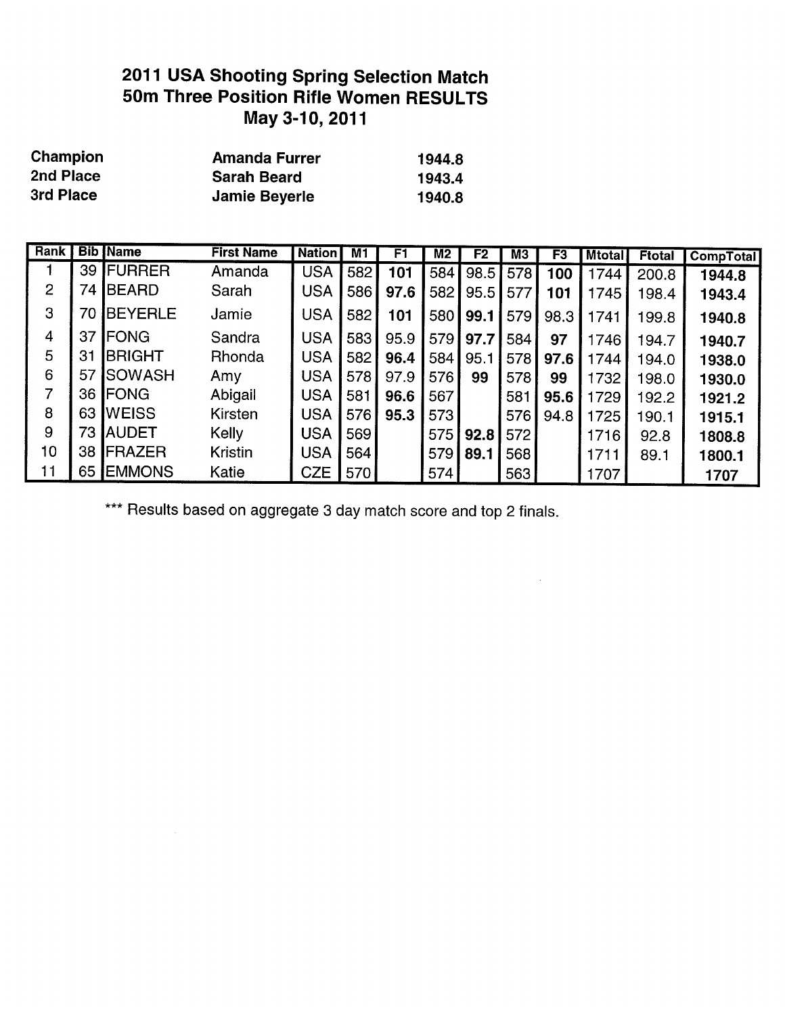## 2011 USA Shooting Spring Selection Match 50m Three Position Rifle Women RESULTS May 3-10, 2011

| Champion  | <b>Amanda Furrer</b> | 1944.8 |
|-----------|----------------------|--------|
| 2nd Place | <b>Sarah Beard</b>   | 1943.4 |
| 3rd Place | <b>Jamie Beyerle</b> | 1940.8 |

| Rank           |    | <b>Bib Name</b> | <b>First Name</b> | <b>Nation</b> | M1  | F1   | M <sub>2</sub> | F <sub>2</sub> | MЗ  | F3   | <b>Mtotal</b> | <b>Ftotal</b> | <b>CompTotal</b> |
|----------------|----|-----------------|-------------------|---------------|-----|------|----------------|----------------|-----|------|---------------|---------------|------------------|
|                | 39 | <b>FURRER</b>   | Amanda            | <b>USA</b>    | 582 | 101  | 584            | 98.5           | 578 | 100  | 1744          | 200.8         | 1944.8           |
| $\overline{2}$ | 74 | <b>IBEARD</b>   | Sarah             | <b>USA</b>    | 586 | 97.6 | 582            | 95.5           | 577 | 101  | 1745          | 198.4         | 1943.4           |
| 3              | 70 | <b>IBEYERLE</b> | Jamie             | <b>USA</b>    | 582 | 101  | 580            | 99.1           | 579 | 98.3 | 1741          | 199.8         | 1940.8           |
| 4              | 37 | <b>IFONG</b>    | Sandra            | <b>USA</b>    | 583 | 95.9 | 579            | 97.7           | 584 | 97   | 1746          | 194.7         | 1940.7           |
| 5              | 31 | <b>BRIGHT</b>   | Rhonda            | <b>USA</b>    | 582 | 96.4 | 584            | 95.1           | 578 | 97.6 | 1744          | 194.0         | 1938.0           |
| 6              | 57 | <b>SOWASH</b>   | Amy               | <b>USA</b>    | 578 | 97.9 | 576            | 99             | 578 | 99   | 1732          | 198.0         | 1930.0           |
| 7              | 36 | <b>FONG</b>     | Abigail           | <b>USA</b>    | 581 | 96.6 | 567            |                | 581 | 95.6 | 1729          | 192.2         | 1921.2           |
| 8              | 63 | <b>I</b> WEISS  | Kirsten           | <b>USA</b>    | 576 | 95.3 | 573            |                | 576 | 94.8 | 1725          | 190.1         | 1915.1           |
| 9              | 73 | <b>IAUDET</b>   | Kelly             | <b>USA</b>    | 569 |      | 575            | 92.8           | 572 |      | 1716          | 92.8          | 1808.8           |
| 10             | 38 | <b>IFRAZER</b>  | <b>Kristin</b>    | <b>USA</b>    | 564 |      | 579 <b>J</b>   | 89.1           | 568 |      | 1711          | 89.1          | 1800.1           |
| 11             | 65 | <b>EMMONS</b>   | Katie             | <b>CZE</b>    | 570 |      | 574            |                | 563 |      | 1707          |               | 1707             |

 $\mathcal{L}_{\mathcal{A}}$ 

\*\*\* Results based on aggregate 3 day match score and top 2 finals.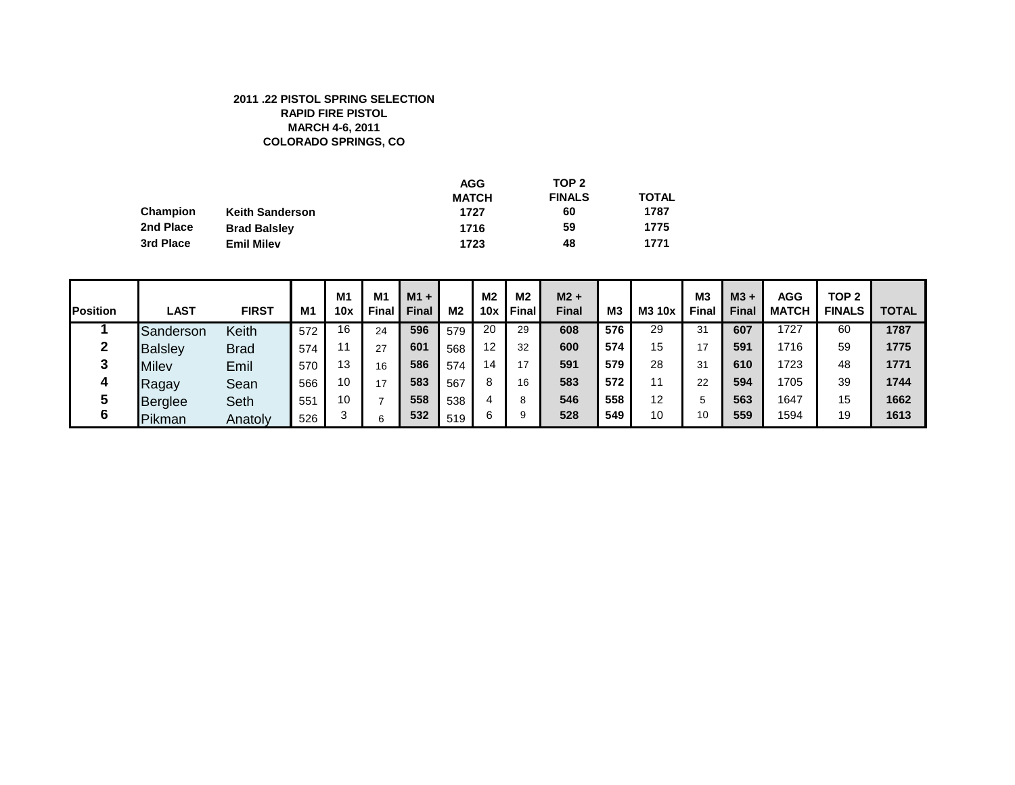#### **2011 .22 PISTOL SPRING SELECTION RAPID FIRE PISTOL MARCH 4-6, 2011 COLORADO SPRINGS, CO**

|           |                        | <b>AGG</b>   | TOP <sub>2</sub> |              |
|-----------|------------------------|--------------|------------------|--------------|
|           |                        | <b>MATCH</b> | <b>FINALS</b>    | <b>TOTAL</b> |
| Champion  | <b>Keith Sanderson</b> | 1727         | 60               | 1787         |
| 2nd Place | <b>Brad Balsley</b>    | 1716         | 59               | 1775         |
| 3rd Place | <b>Emil Milev</b>      | 1723         | 48               | 1771         |

| <b>Position</b> | <b>LAST</b>    | <b>FIRST</b> | <b>M1</b> | M1<br>10x | M <sub>1</sub><br>Final | $M1 +$<br><b>Final</b> | M <sub>2</sub> | M <sub>2</sub><br>10x | M <sub>2</sub><br>Final | $M2 +$<br><b>Final</b> | М3  | M3 10x | M <sub>3</sub><br>Final | $M3 +$<br>Final | <b>AGG</b><br><b>MATCH</b> | TOP <sub>2</sub><br><b>FINALS</b> | <b>TOTAL</b> |
|-----------------|----------------|--------------|-----------|-----------|-------------------------|------------------------|----------------|-----------------------|-------------------------|------------------------|-----|--------|-------------------------|-----------------|----------------------------|-----------------------------------|--------------|
|                 | Sanderson      | Keith        | 572       | 16        | 24                      | 596                    | 579            | 20                    | 29                      | 608                    | 576 | 29     | 31                      | 607             | 1727                       | 60                                | 1787         |
|                 | <b>Balsley</b> | <b>Brad</b>  | 574       | -1        | 27                      | 601                    | 568            | $12 \overline{ }$     | 32                      | 600                    | 574 | 15     | 17                      | 591             | 1716                       | 59                                | 1775         |
|                 | Milev          | Emil         | 570       | 13        | 16                      | 586                    | 574            | 14                    |                         | 591                    | 579 | 28     | 31                      | 610             | 1723                       | 48                                | 1771         |
|                 | Ragay          | Sean         | 566       | 10        | 17                      | 583                    | 567            | 8                     | 16                      | 583                    | 572 | 11     | 22                      | 594             | 1705                       | 39                                | 1744         |
|                 | <b>Berglee</b> | Seth         | 551       | 10        |                         | 558                    | 538            |                       |                         | 546                    | 558 | 12     |                         | 563             | 1647                       | 15                                | 1662         |
| 6               | Pikman         | Anatoly      | 526       | っ         | 6                       | 532                    | 519            | 6                     |                         | 528                    | 549 | 10     | 10                      | 559             | 1594                       | 19                                | 1613         |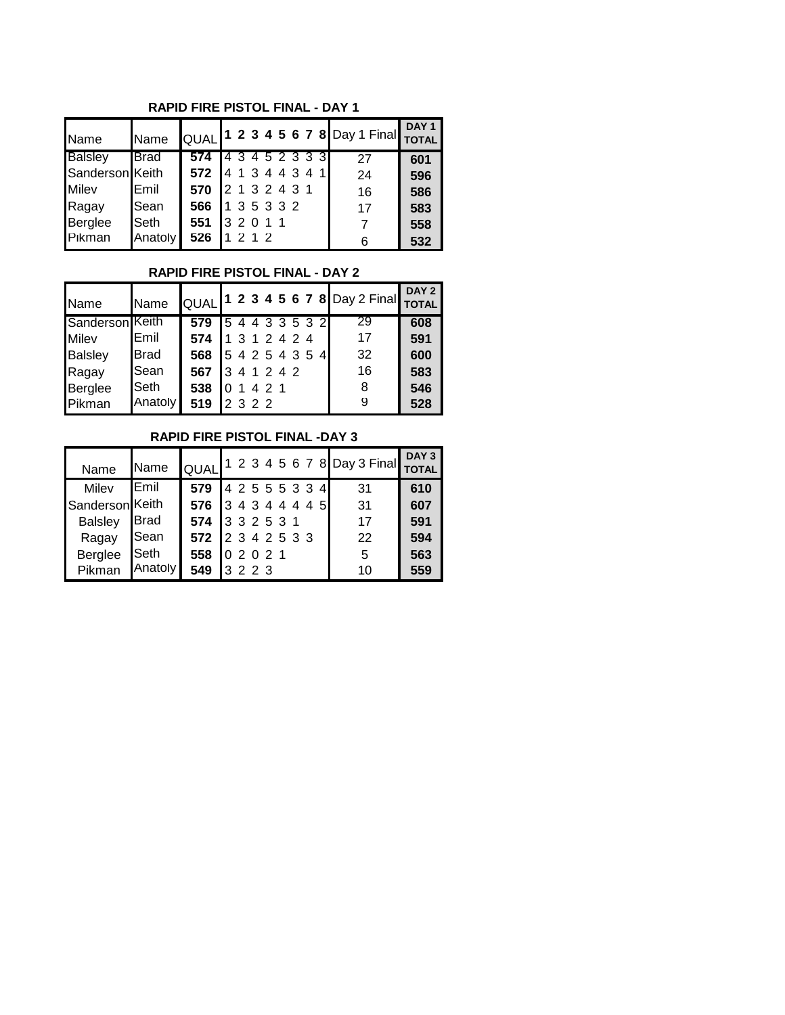**RAPID FIRE PISTOL FINAL - DAY 1**

| Name            | <b>Name</b>   |                 |         |                 |  |  | QUAL <sup>1</sup> 2 3 4 5 6 7 8 Day 1 Final TOTAL | DAY <sub>1</sub> |
|-----------------|---------------|-----------------|---------|-----------------|--|--|---------------------------------------------------|------------------|
| <b>Balsley</b>  | <b>I</b> Brad | 574             |         | 4 3 4 5 2 3 3 3 |  |  | 27                                                | 601              |
| Sanderson Keith |               | 572             |         | 4 1 3 4 4 3 4 1 |  |  | 24                                                | 596              |
| <b>Milev</b>    | <b>IEmil</b>  | 570             |         | 2 1 3 2 4 3 1   |  |  | 16                                                | 586              |
| Ragay           | Sean          | 566 1 3 5 3 3 2 |         |                 |  |  | 17                                                | 583              |
| Berglee         | <b>I</b> Seth | 551             |         | 3 2 0 1 1       |  |  | 7                                                 | 558              |
| Pikman          | Anatoly       | 526             | 1 2 1 2 |                 |  |  | 6                                                 | 532              |

#### **RAPID FIRE PISTOL FINAL - DAY 2**

| Name            | <b>Name</b>   |                   |                 |  |  |  | QUAL 1 2 3 4 5 6 7 8 Day 2 Final TOTAL | DAY <sub>2</sub> |
|-----------------|---------------|-------------------|-----------------|--|--|--|----------------------------------------|------------------|
| Sanderson Keith |               | 579               | 5 4 4 3 3 5 3 2 |  |  |  | 29                                     | 608              |
| <b>Milev</b>    | <b>IEmil</b>  | 574 1 3 1 2 4 2 4 |                 |  |  |  | 17                                     | 591              |
| <b>Balsley</b>  | <b>I</b> Brad | 568               | 54254354        |  |  |  | 32                                     | 600              |
| Ragay           | <b>Sean</b>   | 567               | 341242          |  |  |  | 16                                     | 583              |
| Berglee         | <b>Seth</b>   | 538               | 101421          |  |  |  | 8                                      | 546              |
| Pikman          | Anatoly       | 519               | 2 3 2 2         |  |  |  | 9                                      | 528              |

#### **RAPID FIRE PISTOL FINAL -DAY 3**

| Name            | <b>Name</b>   |                     |                 |  |  |  | QUAL <sup>1</sup> 2 3 4 5 6 7 8 Day 3 Final | DAY <sub>3</sub><br><b>TOTAL</b> |
|-----------------|---------------|---------------------|-----------------|--|--|--|---------------------------------------------|----------------------------------|
| Milev           | <b>IEmil</b>  | 579                 | 4 2 5 5 5 3 3 4 |  |  |  | 31                                          | 610                              |
| Sanderson Keith |               | 576 3 4 3 4 4 4 4 5 |                 |  |  |  | 31                                          | 607                              |
| <b>Balsley</b>  | <b>I</b> Brad | 574 3 3 2 5 3 1     |                 |  |  |  | 17                                          | 591                              |
| Ragay           | <b>I</b> Sean | 572 2 3 4 2 5 3 3   |                 |  |  |  | 22                                          | 594                              |
| Berglee         | <b>Seth</b>   | 558                 | 02021           |  |  |  | 5                                           | 563                              |
| Pikman          | Anatoly       | 549                 | 3 2 2 3         |  |  |  | 10                                          | 559                              |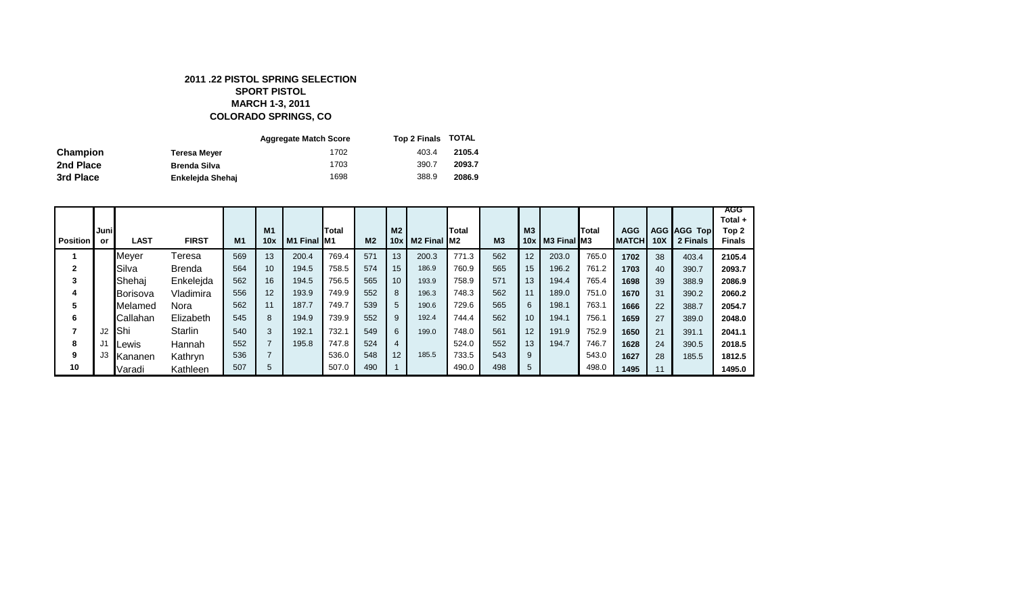#### **2011 .22 PISTOL SPRING SELECTION SPORT PISTOL MARCH 1-3, 2011 COLORADO SPRINGS, CO**

|                 |                     | <b>Aggregate Match Score</b> | Top 2 Finals TOTAL |        |
|-----------------|---------------------|------------------------------|--------------------|--------|
| <b>Champion</b> | Teresa Meyer        | 1702                         | 403.4              | 2105.4 |
| 2nd Place       | <b>Brenda Silva</b> | 1703                         | 390.7              | 2093.7 |
| 3rd Place       | Enkeleida Shehaj    | 1698                         | 388.9              | 2086.9 |

| <b>Position</b> | Juni <br>or | LAST           | <b>FIRST</b>  | M <sub>1</sub> | M <sub>1</sub><br>10x | M1 Final M1 | Total | M <sub>2</sub> | M2<br>10x        | : I M2 Final IM2 | Total | M <sub>3</sub> | M3<br>10 $xI$   | M3 Final M3 | Total | <b>AGG</b><br><b>MATCH</b> | 10 <sub>X</sub> | <b>AGG AGG Top</b><br>2 Finals | AGG<br>Total +<br>Top 2<br><b>Finals</b> |
|-----------------|-------------|----------------|---------------|----------------|-----------------------|-------------|-------|----------------|------------------|------------------|-------|----------------|-----------------|-------------|-------|----------------------------|-----------------|--------------------------------|------------------------------------------|
|                 |             | Meyer          | Teresa        | 569            | 13                    | 200.4       | 769.4 | 571            | 13               | 200.3            | 771.3 | 562            | 12              | 203.0       | 765.0 | 1702                       | 38              | 403.4                          | 2105.4                                   |
| 2               |             | Silva          | <b>Brenda</b> | 564            | 10                    | 194.5       | 758.5 | 574            | 15 <sup>15</sup> | 186.9            | 760.9 | 565            | 15              | 196.2       | 761.2 | 1703                       | 40              | 390.7                          | 2093.7                                   |
| 3               |             | Shehai         | Enkelejda     | 562            | 16                    | 194.5       | 756.5 | 565            | 10 <sup>°</sup>  | 193.9            | 758.9 | 571            | 13              | 194.4       | 765.4 | 1698                       | 39              | 388.9                          | 2086.9                                   |
| 4               |             | Borisova       | Vladimira     | 556            | 12                    | 193.9       | 749.9 | 552            | 8                | 196.3            | 748.3 | 562            | 11              | 189.0       | 751.0 | 1670                       | 31              | 390.2                          | 2060.2                                   |
| 5               |             | lMelamed       | Nora          | 562            | 11                    | 187.7       | 749.7 | 539            | 5                | 190.6            | 729.6 | 565            | 6               | 198.1       | 763.1 | 1666                       | 22              | 388.7                          | 2054.7                                   |
| 6               |             | Callahan       | Elizabeth     | 545            | 8                     | 194.9       | 739.9 | 552            | 9                | 192.4            | 744.4 | 562            | 10 <sup>°</sup> | 194.1       | 756.1 | 1659                       | 27              | 389.0                          | 2048.0                                   |
|                 | J2          | Shi            | Starlin       | 540            | 3                     | 192.1       | 732.1 | 549            | 6                | 199.0            | 748.0 | 561            | 12 <sup>°</sup> | 191.9       | 752.9 | 1650                       | 21              | 391.1                          | 2041.1                                   |
| 8               |             | <b>IL</b> ewis | Hannah        | 552            |                       | 195.8       | 747.8 | 524            | 4                |                  | 524.0 | 552            | 13              | 194.7       | 746.7 | 1628                       | 24              | 390.5                          | 2018.5                                   |
| 9               | J3          | Kananen        | Kathryn       | 536            |                       |             | 536.0 | 548            | 12 <sup>2</sup>  | 185.5            | 733.5 | 543            | 9               |             | 543.0 | 1627                       | 28              | 185.5                          | 1812.5                                   |
| 10              |             | Varadi         | Kathleen      | 507            | 5                     |             | 507.0 | 490            |                  |                  | 490.0 | 498            | 5               |             | 498.0 | 1495                       | 11              |                                | 1495.0                                   |